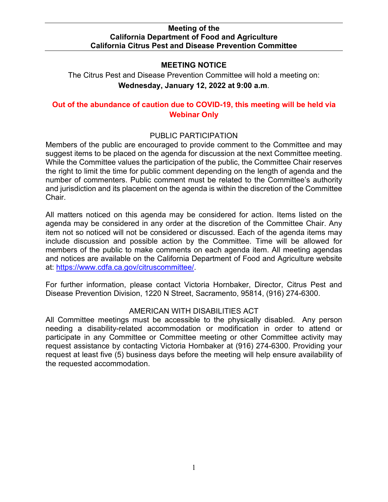### **MEETING NOTICE**

 **Wednesday, January 12, 2022 at 9:00 a.m**. The Citrus Pest and Disease Prevention Committee will hold a meeting on:

# **Out of the abundance of caution due to COVID-19, this meeting will be held via Webinar Only**

### PUBLIC PARTICIPATION

Members of the public are encouraged to provide comment to the Committee and may suggest items to be placed on the agenda for discussion at the next Committee meeting. While the Committee values the participation of the public, the Committee Chair reserves the right to limit the time for public comment depending on the length of agenda and the number of commenters. Public comment must be related to the Committee's authority and jurisdiction and its placement on the agenda is within the discretion of the Committee Chair.

 agenda may be considered in any order at the discretion of the Committee Chair. Any All matters noticed on this agenda may be considered for action. Items listed on the item not so noticed will not be considered or discussed. Each of the agenda items may include discussion and possible action by the Committee. Time will be allowed for members of the public to make comments on each agenda item. All meeting agendas and notices are available on the California Department of Food and Agriculture website at: [https://www.cdfa.ca.gov/citruscommittee/.](https://www.cdfa.ca.gov/citruscommittee/)

For further information, please contact Victoria Hornbaker, Director, Citrus Pest and Disease Prevention Division, 1220 N Street, Sacramento, 95814, (916) 274-6300.

### AMERICAN WITH DISABILITIES ACT

 All Committee meetings must be accessible to the physically disabled. Any person participate in any Committee or Committee meeting or other Committee activity may request at least five (5) business days before the meeting will help ensure availability of needing a disability-related accommodation or modification in order to attend or request assistance by contacting Victoria Hornbaker at (916) 274-6300. Providing your the requested accommodation.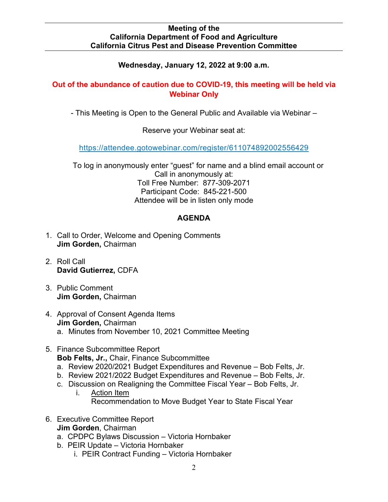## **Wednesday, January 12, 2022 at 9:00 a.m.**

## **Out of the abundance of caution due to COVID-19, this meeting will be held via Webinar Only**

- This Meeting is Open to the General Public and Available via Webinar –

Reserve your Webinar seat at:

[https://attendee.gotowebinar.com/register/611074892002556429](https://gcc02.safelinks.protection.outlook.com/?url=https%3A%2F%2Fattendee.gotowebinar.com%2Fregister%2F611074892002556429&data=04%7C01%7CDavid.Gutierrez%40cdfa.ca.gov%7C0402800f9d3647f7a2df08d8fba12b67%7Cafdfd251a22248978cbaae68cabfffbc%7C0%7C0%7C637536016924515772%7CUnknown%7CTWFpbGZsb3d8eyJWIjoiMC4wLjAwMDAiLCJQIjoiV2luMzIiLCJBTiI6Ik1haWwiLCJXVCI6Mn0%3D%7C1000&sdata=9w4V2Kz2mCwSzUyAK8FffIi%2B004ysGHisVu2V7Gnqrs%3D&reserved=0) 

 Participant Code: 845-221-500 To log in anonymously enter "guest" for name and a blind email account or Call in anonymously at: Toll Free Number: 877-309-2071 Attendee will be in listen only mode

## **AGENDA**

- **Jim Gorden,** Chairman 1. Call to Order, Welcome and Opening Comments
- 2. Roll Call **David Gutierrez,** CDFA
- **Jim Gorden,** Chairman 3. Public Comment
- **Jim Gorden,** Chairman a. Minutes from November 10, 2021 Committee Meeting 4. Approval of Consent Agenda Items
- 5. Finance Subcommittee Report **Bob Felts, Jr.,** Chair, Finance Subcommittee
	- a. Review 2020/2021 Budget Expenditures and Revenue Bob Felts, Jr.
	- b. Review 2021/2022 Budget Expenditures and Revenue Bob Felts, Jr.
	- c. Discussion on Realigning the Committee Fiscal Year Bob Felts, Jr.
		- i. Action Item Recommendation to Move Budget Year to State Fiscal Year
- 6. Executive Committee Report
	- **Jim Gorden**, Chairman
	- a. CPDPC Bylaws Discussion Victoria Hornbaker
	- b. PEIR Update Victoria Hornbaker
		- i. PEIR Contract Funding Victoria Hornbaker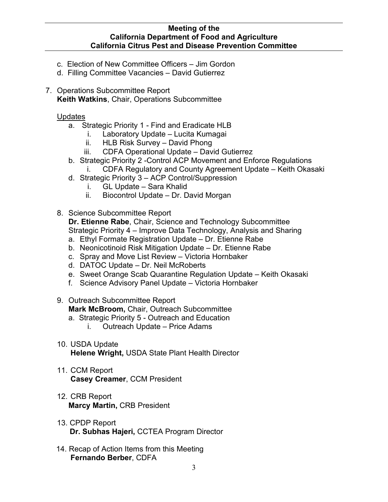- c. Election of New Committee Officers Jim Gordon
- d. Filling Committee Vacancies David Gutierrez
- 7. Operations Subcommittee Report **Keith Watkins**, Chair, Operations Subcommittee

Updates

- a. Strategic Priority 1 Find and Eradicate HLB
	- i. Laboratory Update Lucita Kumagai
	- ii. HLB Risk Survey David Phong
	- iii. CDFA Operational Update David Gutierrez
- b. Strategic Priority 2 -Control ACP Movement and Enforce Regulations
	- i. CDFA Regulatory and County Agreement Update Keith Okasaki
- d. Strategic Priority 3 ACP Control/Suppression
	- i. GL Update Sara Khalid
	- ii. Biocontrol Update Dr. David Morgan
- 8. Science Subcommittee Report

**Dr. Etienne Rabe**, Chair, Science and Technology Subcommittee Strategic Priority 4 – Improve Data Technology, Analysis and Sharing

- a. Ethyl Formate Registration Update Dr. Etienne Rabe
- b. Neonicotinoid Risk Mitigation Update Dr. Etienne Rabe
- c. Spray and Move List Review Victoria Hornbaker
- d. DATOC Update Dr. Neil McRoberts
- e. Sweet Orange Scab Quarantine Regulation Update Keith Okasaki
- f. Science Advisory Panel Update Victoria Hornbaker
- 9. Outreach Subcommittee Report **Mark McBroom,** Chair, Outreach Subcommittee
	- a. Strategic Priority 5 Outreach and Education
		- i. Outreach Update Price Adams
- 10. USDA Update **Helene Wright,** USDA State Plant Health Director
- 11. CCM Report **Casey Creamer**, CCM President
- 12. CRB Report **Marcy Martin,** CRB President
- 13. CPDP Report **Dr. Subhas Hajeri,** CCTEA Program Director
- 14. Recap of Action Items from this Meeting **Fernando Berber**, CDFA